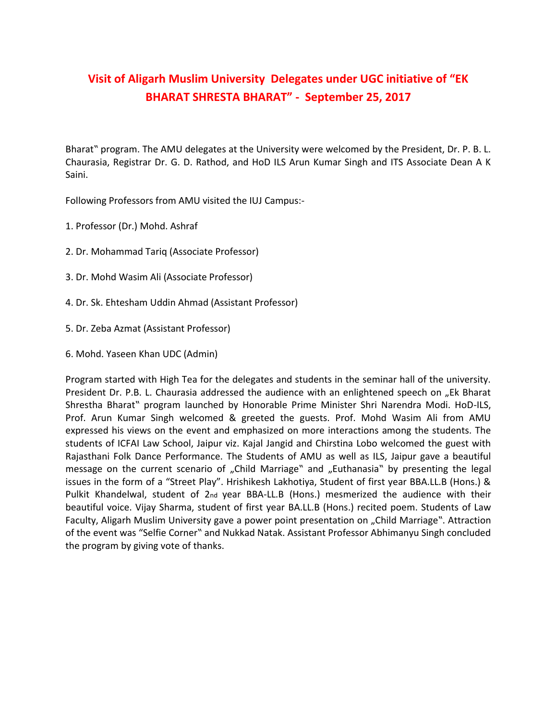## **Visit of Aligarh Muslim University Delegates under UGC initiative of "EK BHARAT SHRESTA BHARAT" - September 25, 2017**

Bharat" program. The AMU delegates at the University were welcomed by the President, Dr. P. B. L. Chaurasia, Registrar Dr. G. D. Rathod, and HoD ILS Arun Kumar Singh and ITS Associate Dean A K Saini.

Following Professors from AMU visited the IUJ Campus:-

- 1. Professor (Dr.) Mohd. Ashraf
- 2. Dr. Mohammad Tariq (Associate Professor)
- 3. Dr. Mohd Wasim Ali (Associate Professor)
- 4. Dr. Sk. Ehtesham Uddin Ahmad (Assistant Professor)
- 5. Dr. Zeba Azmat (Assistant Professor)
- 6. Mohd. Yaseen Khan UDC (Admin)

Program started with High Tea for the delegates and students in the seminar hall of the university. President Dr. P.B. L. Chaurasia addressed the audience with an enlightened speech on "Ek Bharat Shrestha Bharat" program launched by Honorable Prime Minister Shri Narendra Modi. HoD-ILS, Prof. Arun Kumar Singh welcomed & greeted the guests. Prof. Mohd Wasim Ali from AMU expressed his views on the event and emphasized on more interactions among the students. The students of ICFAI Law School, Jaipur viz. Kajal Jangid and Chirstina Lobo welcomed the guest with Rajasthani Folk Dance Performance. The Students of AMU as well as ILS, Jaipur gave a beautiful message on the current scenario of "Child Marriage" and "Euthanasia" by presenting the legal issues in the form of a "Street Play". Hrishikesh Lakhotiya, Student of first year BBA.LL.B (Hons.) & Pulkit Khandelwal, student of 2nd year BBA-LL.B (Hons.) mesmerized the audience with their beautiful voice. Vijay Sharma, student of first year BA.LL.B (Hons.) recited poem. Students of Law Faculty, Aligarh Muslim University gave a power point presentation on "Child Marriage". Attraction of the event was "Selfie Corner" and Nukkad Natak. Assistant Professor Abhimanyu Singh concluded the program by giving vote of thanks.